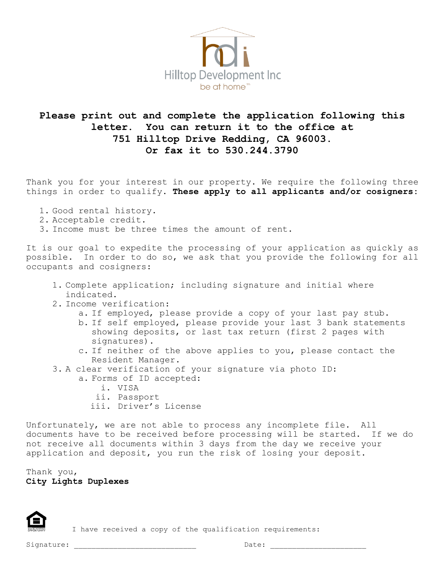

## **Please print out and complete the application following this letter. You can return it to the office at 751 Hilltop Drive Redding, CA 96003. Or fax it to 530.244.3790**

Thank you for your interest in our property. We require the following three things in order to qualify. **These apply to all applicants and/or cosigners:**

- 1. Good rental history.
- 2. Acceptable credit.
- 3. Income must be three times the amount of rent.

It is our goal to expedite the processing of your application as quickly as possible. In order to do so, we ask that you provide the following for all occupants and cosigners:

- 1. Complete application; including signature and initial where indicated.
- 2. Income verification:
	- a. If employed, please provide a copy of your last pay stub.
	- b. If self employed, please provide your last 3 bank statements showing deposits, or last tax return (first 2 pages with signatures).
	- c. If neither of the above applies to you, please contact the Resident Manager.
- 3. A clear verification of your signature via photo ID:
	- a. Forms of ID accepted:
		- i. VISA
		- ii. Passport
		- iii. Driver's License

Unfortunately, we are not able to process any incomplete file. All documents have to be received before processing will be started. If we do not receive all documents within 3 days from the day we receive your application and deposit, you run the risk of losing your deposit.

Thank you, **City Lights Duplexes**



I have received a copy of the qualification requirements: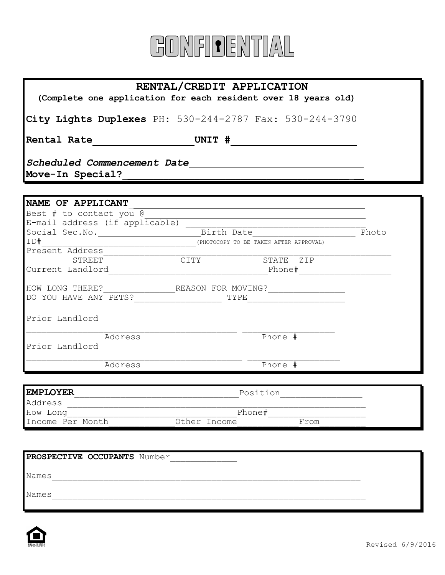

## **RENTAL/CREDIT APPLICATION**

**(Complete one application for each resident over 18 years old)**

**City Lights Duplexes** PH: 530-244-2787 Fax: 530-244-3790

**Rental Rate UNIT #** 

*Scheduled Commencement Date* \_\_\_\_\_\_

Move-In Special?

| NAME OF APPLICANT              |                    |                          |       |
|--------------------------------|--------------------|--------------------------|-------|
| Best # to contact you @        |                    |                          |       |
| E-mail address (if applicable) |                    |                          |       |
| Social Sec.No.                 | Birth Date         |                          | Photo |
| ID#                            | (PHOTOCOPY         | BE TAKEN AFTER APPROVAL) |       |
| Present Address                |                    |                          |       |
| STREET                         | CITY               | STATE<br>ZIP             |       |
| Current Landlord               |                    | Phone#                   |       |
| HOW LONG THERE?                | REASON FOR MOVING? |                          |       |
| YOU HAVE ANY PETS?<br>DO.      |                    | TYPE                     |       |
| Prior Landlord                 |                    |                          |       |
| Address                        |                    | Phone #                  |       |
| Prior Landlord                 |                    |                          |       |
| Address                        |                    | Phone #                  |       |

| <b>EMPLOYER</b>  | Position     |      |  |  |
|------------------|--------------|------|--|--|
| Address          |              |      |  |  |
| How Long         | Phone#       |      |  |  |
| Income Per Month | Other Income | From |  |  |

| PROSPECTIVE OCCUPANTS Number |
|------------------------------|
| Names                        |
| Names                        |
|                              |

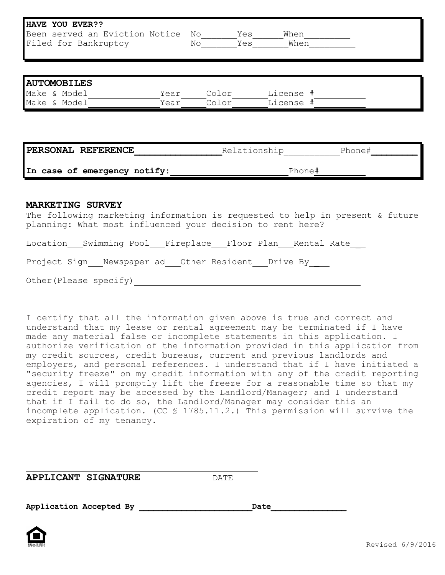| HAVE YOU EVER??<br>Been served an Eviction Notice No Yes                                                                                                              |      |        |                 | When |  |  |
|-----------------------------------------------------------------------------------------------------------------------------------------------------------------------|------|--------|-----------------|------|--|--|
| Filed for Bankruptcy                                                                                                                                                  |      | No Yes |                 | When |  |  |
|                                                                                                                                                                       |      |        |                 |      |  |  |
|                                                                                                                                                                       |      |        |                 |      |  |  |
| <b>AUTOMOBILES</b>                                                                                                                                                    |      |        |                 |      |  |  |
| Make & Model                                                                                                                                                          | Year |        | Color License # |      |  |  |
| Make & Model                                                                                                                                                          | Year |        | Color License # |      |  |  |
| PERSONAL REFERENCE                                                                                                                                                    |      |        |                 |      |  |  |
| Relationship Phone#<br>In case of emergency notify:<br>Phone#                                                                                                         |      |        |                 |      |  |  |
|                                                                                                                                                                       |      |        |                 |      |  |  |
| <b>MARKETING SURVEY</b><br>The following marketing information is requested to help in present & future<br>planning: What most influenced your decision to rent here? |      |        |                 |      |  |  |
| Location Swimming Pool Fireplace Floor Plan Rental Rate                                                                                                               |      |        |                 |      |  |  |
| Project Sign Newspaper ad Other Resident Drive By                                                                                                                     |      |        |                 |      |  |  |

Other(Please specify)

I certify that all the information given above is true and correct and understand that my lease or rental agreement may be terminated if I have made any material false or incomplete statements in this application. I authorize verification of the information provided in this application from my credit sources, credit bureaus, current and previous landlords and employers, and personal references. I understand that if I have initiated a "security freeze" on my credit information with any of the credit reporting agencies, I will promptly lift the freeze for a reasonable time so that my credit report may be accessed by the Landlord/Manager; and I understand that if I fail to do so, the Landlord/Manager may consider this an incomplete application. (CC § 1785.11.2.) This permission will survive the expiration of my tenancy.

**APPLICANT SIGNATURE** DATE

Application Accepted By **Date**